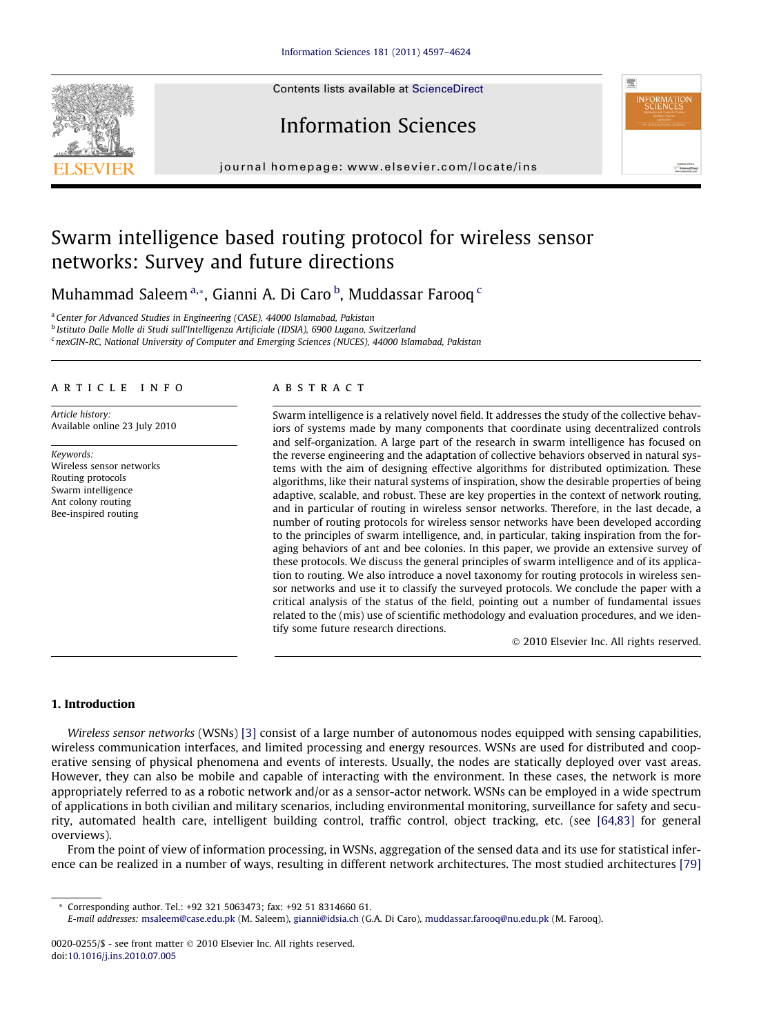Contents lists available at [ScienceDirect](http://www.sciencedirect.com/science/journal/00200255)







journal homepage: [www.elsevier.com/locate/ins](http://www.elsevier.com/locate/ins)

## Swarm intelligence based routing protocol for wireless sensor networks: Survey and future directions

Muhammad Saleem<sup>a,</sup>\*, Gianni A. Di Caro <sup>b</sup>, Muddassar Farooq <sup>c</sup>

<sup>a</sup> Center for Advanced Studies in Engineering (CASE), 44000 Islamabad, Pakistan

<sup>b</sup> Istituto Dalle Molle di Studi sull'Intelligenza Artificiale (IDSIA), 6900 Lugano, Switzerland

 $c$  nexGIN-RC, National University of Computer and Emerging Sciences (NUCES), 44000 Islamabad, Pakistan

#### article info

Article history: Available online 23 July 2010

Keywords: Wireless sensor networks Routing protocols Swarm intelligence Ant colony routing Bee-inspired routing

### **ABSTRACT**

Swarm intelligence is a relatively novel field. It addresses the study of the collective behaviors of systems made by many components that coordinate using decentralized controls and self-organization. A large part of the research in swarm intelligence has focused on the reverse engineering and the adaptation of collective behaviors observed in natural systems with the aim of designing effective algorithms for distributed optimization. These algorithms, like their natural systems of inspiration, show the desirable properties of being adaptive, scalable, and robust. These are key properties in the context of network routing, and in particular of routing in wireless sensor networks. Therefore, in the last decade, a number of routing protocols for wireless sensor networks have been developed according to the principles of swarm intelligence, and, in particular, taking inspiration from the foraging behaviors of ant and bee colonies. In this paper, we provide an extensive survey of these protocols. We discuss the general principles of swarm intelligence and of its application to routing. We also introduce a novel taxonomy for routing protocols in wireless sensor networks and use it to classify the surveyed protocols. We conclude the paper with a critical analysis of the status of the field, pointing out a number of fundamental issues related to the (mis) use of scientific methodology and evaluation procedures, and we identify some future research directions.

- 2010 Elsevier Inc. All rights reserved.

#### 1. Introduction

Wireless sensor networks (WSNs) [\[3\]](#page--1-0) consist of a large number of autonomous nodes equipped with sensing capabilities, wireless communication interfaces, and limited processing and energy resources. WSNs are used for distributed and cooperative sensing of physical phenomena and events of interests. Usually, the nodes are statically deployed over vast areas. However, they can also be mobile and capable of interacting with the environment. In these cases, the network is more appropriately referred to as a robotic network and/or as a sensor-actor network. WSNs can be employed in a wide spectrum of applications in both civilian and military scenarios, including environmental monitoring, surveillance for safety and security, automated health care, intelligent building control, traffic control, object tracking, etc. (see [\[64,83\]](#page--1-0) for general overviews).

From the point of view of information processing, in WSNs, aggregation of the sensed data and its use for statistical inference can be realized in a number of ways, resulting in different network architectures. The most studied architectures [\[79\]](#page--1-0)

\* Corresponding author. Tel.: +92 321 5063473; fax: +92 51 8314660 61.

E-mail addresses: [msaleem@case.edu.pk](mailto:msaleem@case.edu.pk) (M. Saleem), [gianni@idsia.ch](mailto:gianni@idsia.ch) (G.A. Di Caro), [muddassar.farooq@nu.edu.pk](mailto:muddassar.farooq@nu.edu.pk) (M. Farooq).

<sup>0020-0255/\$ -</sup> see front matter © 2010 Elsevier Inc. All rights reserved. doi:[10.1016/j.ins.2010.07.005](http://dx.doi.org/10.1016/j.ins.2010.07.005)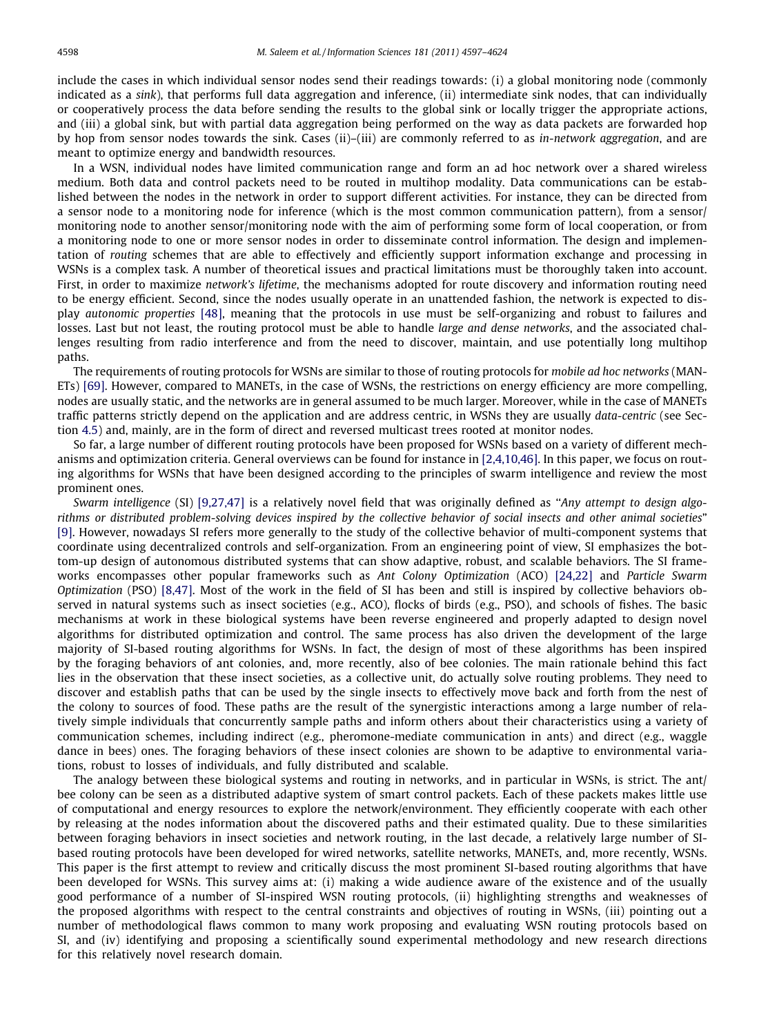include the cases in which individual sensor nodes send their readings towards: (i) a global monitoring node (commonly indicated as a sink), that performs full data aggregation and inference, (ii) intermediate sink nodes, that can individually or cooperatively process the data before sending the results to the global sink or locally trigger the appropriate actions, and (iii) a global sink, but with partial data aggregation being performed on the way as data packets are forwarded hop by hop from sensor nodes towards the sink. Cases (ii)–(iii) are commonly referred to as in-network aggregation, and are meant to optimize energy and bandwidth resources.

In a WSN, individual nodes have limited communication range and form an ad hoc network over a shared wireless medium. Both data and control packets need to be routed in multihop modality. Data communications can be established between the nodes in the network in order to support different activities. For instance, they can be directed from a sensor node to a monitoring node for inference (which is the most common communication pattern), from a sensor/ monitoring node to another sensor/monitoring node with the aim of performing some form of local cooperation, or from a monitoring node to one or more sensor nodes in order to disseminate control information. The design and implementation of routing schemes that are able to effectively and efficiently support information exchange and processing in WSNs is a complex task. A number of theoretical issues and practical limitations must be thoroughly taken into account. First, in order to maximize network's lifetime, the mechanisms adopted for route discovery and information routing need to be energy efficient. Second, since the nodes usually operate in an unattended fashion, the network is expected to display autonomic properties [\[48\]](#page--1-0), meaning that the protocols in use must be self-organizing and robust to failures and losses. Last but not least, the routing protocol must be able to handle large and dense networks, and the associated challenges resulting from radio interference and from the need to discover, maintain, and use potentially long multihop paths.

The requirements of routing protocols for WSNs are similar to those of routing protocols for mobile ad hoc networks (MAN-ETs) [\[69\]](#page--1-0). However, compared to MANETs, in the case of WSNs, the restrictions on energy efficiency are more compelling, nodes are usually static, and the networks are in general assumed to be much larger. Moreover, while in the case of MANETs traffic patterns strictly depend on the application and are address centric, in WSNs they are usually data-centric (see Section 4.5) and, mainly, are in the form of direct and reversed multicast trees rooted at monitor nodes.

So far, a large number of different routing protocols have been proposed for WSNs based on a variety of different mechanisms and optimization criteria. General overviews can be found for instance in [\[2,4,10,46\].](#page--1-0) In this paper, we focus on routing algorithms for WSNs that have been designed according to the principles of swarm intelligence and review the most prominent ones.

Swarm intelligence (SI) [\[9,27,47\]](#page--1-0) is a relatively novel field that was originally defined as ''Any attempt to design algorithms or distributed problem-solving devices inspired by the collective behavior of social insects and other animal societies" [\[9\].](#page--1-0) However, nowadays SI refers more generally to the study of the collective behavior of multi-component systems that coordinate using decentralized controls and self-organization. From an engineering point of view, SI emphasizes the bottom-up design of autonomous distributed systems that can show adaptive, robust, and scalable behaviors. The SI frame-works encompasses other popular frameworks such as Ant Colony Optimization (ACO) [\[24,22\]](#page--1-0) and Particle Swarm Optimization (PSO) [\[8,47\]](#page--1-0). Most of the work in the field of SI has been and still is inspired by collective behaviors observed in natural systems such as insect societies (e.g., ACO), flocks of birds (e.g., PSO), and schools of fishes. The basic mechanisms at work in these biological systems have been reverse engineered and properly adapted to design novel algorithms for distributed optimization and control. The same process has also driven the development of the large majority of SI-based routing algorithms for WSNs. In fact, the design of most of these algorithms has been inspired by the foraging behaviors of ant colonies, and, more recently, also of bee colonies. The main rationale behind this fact lies in the observation that these insect societies, as a collective unit, do actually solve routing problems. They need to discover and establish paths that can be used by the single insects to effectively move back and forth from the nest of the colony to sources of food. These paths are the result of the synergistic interactions among a large number of relatively simple individuals that concurrently sample paths and inform others about their characteristics using a variety of communication schemes, including indirect (e.g., pheromone-mediate communication in ants) and direct (e.g., waggle dance in bees) ones. The foraging behaviors of these insect colonies are shown to be adaptive to environmental variations, robust to losses of individuals, and fully distributed and scalable.

The analogy between these biological systems and routing in networks, and in particular in WSNs, is strict. The ant/ bee colony can be seen as a distributed adaptive system of smart control packets. Each of these packets makes little use of computational and energy resources to explore the network/environment. They efficiently cooperate with each other by releasing at the nodes information about the discovered paths and their estimated quality. Due to these similarities between foraging behaviors in insect societies and network routing, in the last decade, a relatively large number of SIbased routing protocols have been developed for wired networks, satellite networks, MANETs, and, more recently, WSNs. This paper is the first attempt to review and critically discuss the most prominent SI-based routing algorithms that have been developed for WSNs. This survey aims at: (i) making a wide audience aware of the existence and of the usually good performance of a number of SI-inspired WSN routing protocols, (ii) highlighting strengths and weaknesses of the proposed algorithms with respect to the central constraints and objectives of routing in WSNs, (iii) pointing out a number of methodological flaws common to many work proposing and evaluating WSN routing protocols based on SI, and (iv) identifying and proposing a scientifically sound experimental methodology and new research directions for this relatively novel research domain.